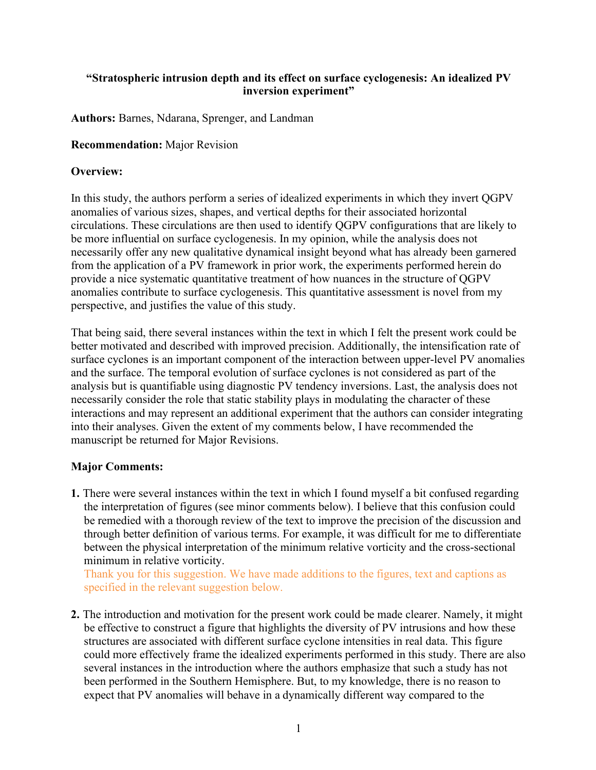# **"Stratospheric intrusion depth and its effect on surface cyclogenesis: An idealized PV inversion experiment"**

**Authors:** Barnes, Ndarana, Sprenger, and Landman

## **Recommendation:** Major Revision

# **Overview:**

In this study, the authors perform a series of idealized experiments in which they invert QGPV anomalies of various sizes, shapes, and vertical depths for their associated horizontal circulations. These circulations are then used to identify QGPV configurations that are likely to be more influential on surface cyclogenesis. In my opinion, while the analysis does not necessarily offer any new qualitative dynamical insight beyond what has already been garnered from the application of a PV framework in prior work, the experiments performed herein do provide a nice systematic quantitative treatment of how nuances in the structure of QGPV anomalies contribute to surface cyclogenesis. This quantitative assessment is novel from my perspective, and justifies the value of this study.

That being said, there several instances within the text in which I felt the present work could be better motivated and described with improved precision. Additionally, the intensification rate of surface cyclones is an important component of the interaction between upper-level PV anomalies and the surface. The temporal evolution of surface cyclones is not considered as part of the analysis but is quantifiable using diagnostic PV tendency inversions. Last, the analysis does not necessarily consider the role that static stability plays in modulating the character of these interactions and may represent an additional experiment that the authors can consider integrating into their analyses. Given the extent of my comments below, I have recommended the manuscript be returned for Major Revisions.

# **Major Comments:**

**1.** There were several instances within the text in which I found myself a bit confused regarding the interpretation of figures (see minor comments below). I believe that this confusion could be remedied with a thorough review of the text to improve the precision of the discussion and through better definition of various terms. For example, it was difficult for me to differentiate between the physical interpretation of the minimum relative vorticity and the cross-sectional minimum in relative vorticity.

Thank you for this suggestion. We have made additions to the figures, text and captions as specified in the relevant suggestion below.

**2.** The introduction and motivation for the present work could be made clearer. Namely, it might be effective to construct a figure that highlights the diversity of PV intrusions and how these structures are associated with different surface cyclone intensities in real data. This figure could more effectively frame the idealized experiments performed in this study. There are also several instances in the introduction where the authors emphasize that such a study has not been performed in the Southern Hemisphere. But, to my knowledge, there is no reason to expect that PV anomalies will behave in a dynamically different way compared to the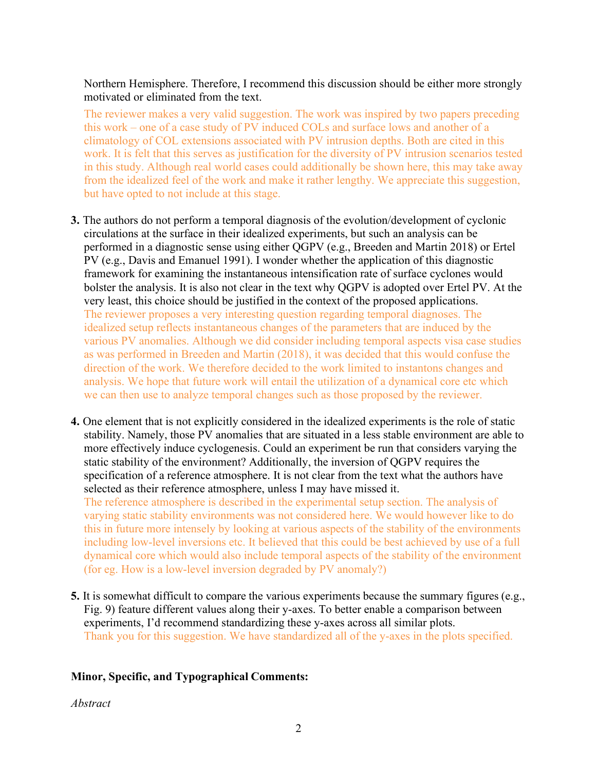# Northern Hemisphere. Therefore, I recommend this discussion should be either more strongly motivated or eliminated from the text.

The reviewer makes a very valid suggestion. The work was inspired by two papers preceding this work – one of a case study of PV induced COLs and surface lows and another of a climatology of COL extensions associated with PV intrusion depths. Both are cited in this work. It is felt that this serves as justification for the diversity of PV intrusion scenarios tested in this study. Although real world cases could additionally be shown here, this may take away from the idealized feel of the work and make it rather lengthy. We appreciate this suggestion, but have opted to not include at this stage.

- **3.** The authors do not perform a temporal diagnosis of the evolution/development of cyclonic circulations at the surface in their idealized experiments, but such an analysis can be performed in a diagnostic sense using either QGPV (e.g., Breeden and Martin 2018) or Ertel PV (e.g., Davis and Emanuel 1991). I wonder whether the application of this diagnostic framework for examining the instantaneous intensification rate of surface cyclones would bolster the analysis. It is also not clear in the text why QGPV is adopted over Ertel PV. At the very least, this choice should be justified in the context of the proposed applications. The reviewer proposes a very interesting question regarding temporal diagnoses. The idealized setup reflects instantaneous changes of the parameters that are induced by the various PV anomalies. Although we did consider including temporal aspects visa case studies as was performed in Breeden and Martin (2018), it was decided that this would confuse the direction of the work. We therefore decided to the work limited to instantons changes and analysis. We hope that future work will entail the utilization of a dynamical core etc which we can then use to analyze temporal changes such as those proposed by the reviewer.
- **4.** One element that is not explicitly considered in the idealized experiments is the role of static stability. Namely, those PV anomalies that are situated in a less stable environment are able to more effectively induce cyclogenesis. Could an experiment be run that considers varying the static stability of the environment? Additionally, the inversion of QGPV requires the specification of a reference atmosphere. It is not clear from the text what the authors have selected as their reference atmosphere, unless I may have missed it.

The reference atmosphere is described in the experimental setup section. The analysis of varying static stability environments was not considered here. We would however like to do this in future more intensely by looking at various aspects of the stability of the environments including low-level inversions etc. It believed that this could be best achieved by use of a full dynamical core which would also include temporal aspects of the stability of the environment (for eg. How is a low-level inversion degraded by PV anomaly?)

**5.** It is somewhat difficult to compare the various experiments because the summary figures (e.g., Fig. 9) feature different values along their y-axes. To better enable a comparison between experiments, I'd recommend standardizing these y-axes across all similar plots. Thank you for this suggestion. We have standardized all of the y-axes in the plots specified.

# **Minor, Specific, and Typographical Comments:**

*Abstract*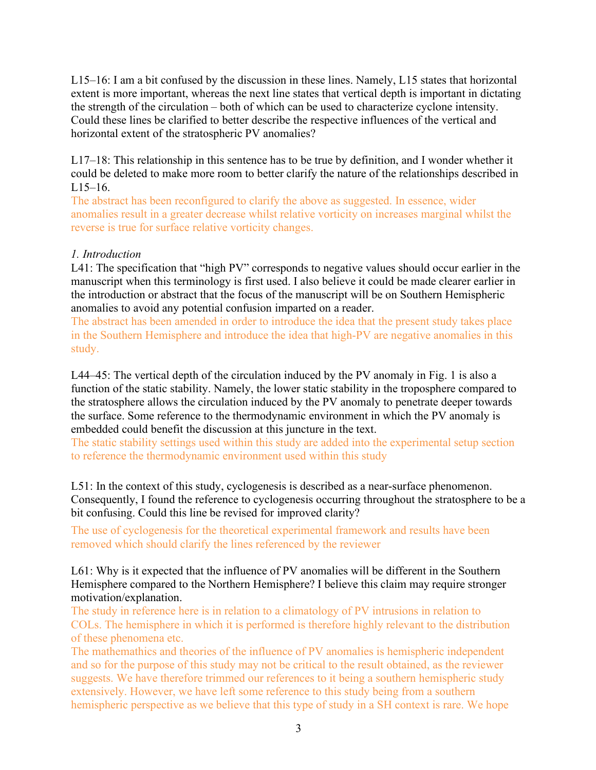L15–16: I am a bit confused by the discussion in these lines. Namely, L15 states that horizontal extent is more important, whereas the next line states that vertical depth is important in dictating the strength of the circulation – both of which can be used to characterize cyclone intensity. Could these lines be clarified to better describe the respective influences of the vertical and horizontal extent of the stratospheric PV anomalies?

L17–18: This relationship in this sentence has to be true by definition, and I wonder whether it could be deleted to make more room to better clarify the nature of the relationships described in  $L15–16.$ 

The abstract has been reconfigured to clarify the above as suggested. In essence, wider anomalies result in a greater decrease whilst relative vorticity on increases marginal whilst the reverse is true for surface relative vorticity changes.

#### *1. Introduction*

L41: The specification that "high PV" corresponds to negative values should occur earlier in the manuscript when this terminology is first used. I also believe it could be made clearer earlier in the introduction or abstract that the focus of the manuscript will be on Southern Hemispheric anomalies to avoid any potential confusion imparted on a reader.

The abstract has been amended in order to introduce the idea that the present study takes place in the Southern Hemisphere and introduce the idea that high-PV are negative anomalies in this study.

L44–45: The vertical depth of the circulation induced by the PV anomaly in Fig. 1 is also a function of the static stability. Namely, the lower static stability in the troposphere compared to the stratosphere allows the circulation induced by the PV anomaly to penetrate deeper towards the surface. Some reference to the thermodynamic environment in which the PV anomaly is embedded could benefit the discussion at this juncture in the text.

The static stability settings used within this study are added into the experimental setup section to reference the thermodynamic environment used within this study

L51: In the context of this study, cyclogenesis is described as a near-surface phenomenon. Consequently, I found the reference to cyclogenesis occurring throughout the stratosphere to be a bit confusing. Could this line be revised for improved clarity?

The use of cyclogenesis for the theoretical experimental framework and results have been removed which should clarify the lines referenced by the reviewer

L61: Why is it expected that the influence of PV anomalies will be different in the Southern Hemisphere compared to the Northern Hemisphere? I believe this claim may require stronger motivation/explanation.

The study in reference here is in relation to a climatology of PV intrusions in relation to COLs. The hemisphere in which it is performed is therefore highly relevant to the distribution of these phenomena etc.

The mathemathics and theories of the influence of PV anomalies is hemispheric independent and so for the purpose of this study may not be critical to the result obtained, as the reviewer suggests. We have therefore trimmed our references to it being a southern hemispheric study extensively. However, we have left some reference to this study being from a southern hemispheric perspective as we believe that this type of study in a SH context is rare. We hope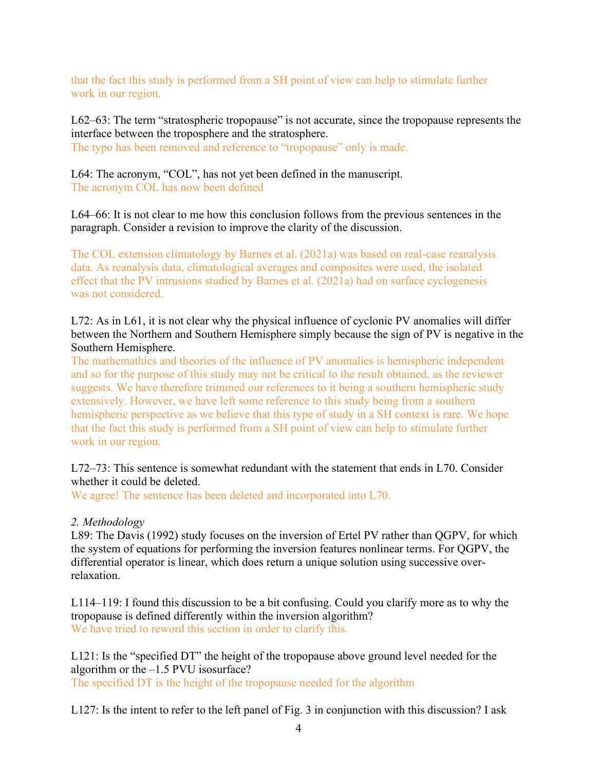that the fact this study is performed from a SH point of view can help to stimulate further work in our region.

L62–63: The term "stratospheric tropopause" is not accurate, since the tropopause represents the interface between the troposphere and the stratosphere. The typo has been removed and reference to "tropopause" only is made.

L64: The acronym, "COL", has not yet been defined in the manuscript. The acronym COL has now been defined

L64–66: It is not clear to me how this conclusion follows from the previous sentences in the paragraph. Consider a revision to improve the clarity of the discussion.

The COL extension climatology by Barnes et al. (2021a) was based on real-case reanalysis data. As reanalysis data, climatological averages and composites were used, the isolated effect that the PV intrusions studied by Barnes et al. (2021a) had on surface cyclogenesis was not considered.

L72: As in L61, it is not clear why the physical influence of cyclonic PV anomalies will differ between the Northern and Southern Hemisphere simply because the sign of PV is negative in the Southern Hemisphere.

The mathemathics and theories of the influence of PV anomalies is hemispheric independent and so for the purpose of this study may not be critical to the result obtained, as the reviewer suggests. We have therefore trimmed our references to it being a southern hemispheric study extensively. However, we have left some reference to this study being from a southern hemispheric perspective as we believe that this type of study in a SH context is rare. We hope that the fact this study is performed from a SH point of view can help to stimulate further work in our region.

L72–73: This sentence is somewhat redundant with the statement that ends in L70. Consider whether it could be deleted.

We agree! The sentence has been deleted and incorporated into L70.

## *2. Methodology*

L89: The Davis (1992) study focuses on the inversion of Ertel PV rather than QGPV, for which the system of equations for performing the inversion features nonlinear terms. For QGPV, the differential operator is linear, which does return a unique solution using successive overrelaxation.

L114–119: I found this discussion to be a bit confusing. Could you clarify more as to why the tropopause is defined differently within the inversion algorithm? We have tried to reword this section in order to clarify this.

L121: Is the "specified DT" the height of the tropopause above ground level needed for the algorithm or the –1.5 PVU isosurface? The specified DT is the height of the tropopause needed for the algorithm

L127: Is the intent to refer to the left panel of Fig. 3 in conjunction with this discussion? I ask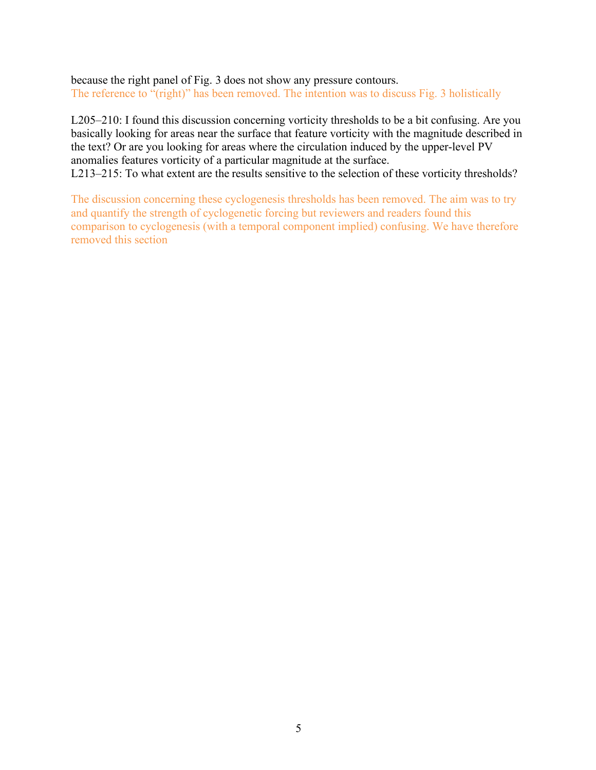because the right panel of Fig. 3 does not show any pressure contours. The reference to "(right)" has been removed. The intention was to discuss Fig. 3 holistically

L205–210: I found this discussion concerning vorticity thresholds to be a bit confusing. Are you basically looking for areas near the surface that feature vorticity with the magnitude described in the text? Or are you looking for areas where the circulation induced by the upper-level PV anomalies features vorticity of a particular magnitude at the surface. L213–215: To what extent are the results sensitive to the selection of these vorticity thresholds?

The discussion concerning these cyclogenesis thresholds has been removed. The aim was to try and quantify the strength of cyclogenetic forcing but reviewers and readers found this comparison to cyclogenesis (with a temporal component implied) confusing. We have therefore removed this section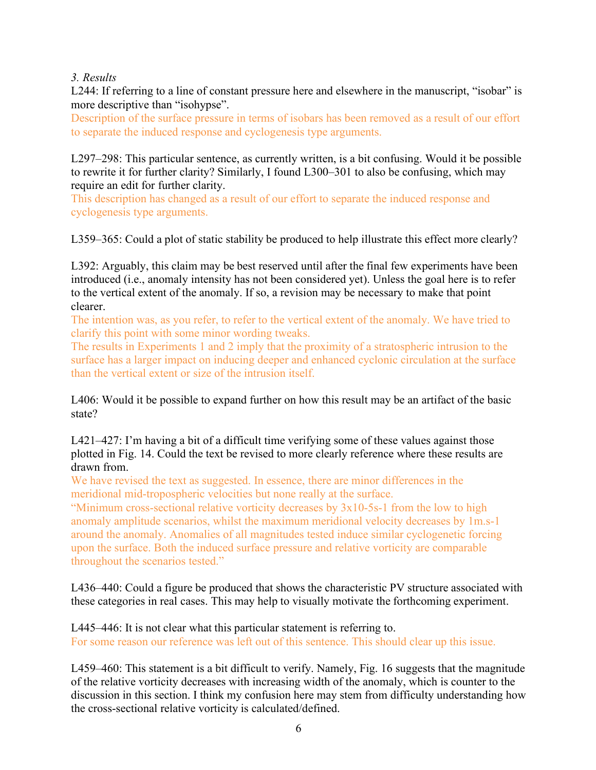# *3. Results*

L244: If referring to a line of constant pressure here and elsewhere in the manuscript, "isobar" is more descriptive than "isohypse".

Description of the surface pressure in terms of isobars has been removed as a result of our effort to separate the induced response and cyclogenesis type arguments.

L297–298: This particular sentence, as currently written, is a bit confusing. Would it be possible to rewrite it for further clarity? Similarly, I found L300–301 to also be confusing, which may require an edit for further clarity.

This description has changed as a result of our effort to separate the induced response and cyclogenesis type arguments.

L359–365: Could a plot of static stability be produced to help illustrate this effect more clearly?

L392: Arguably, this claim may be best reserved until after the final few experiments have been introduced (i.e., anomaly intensity has not been considered yet). Unless the goal here is to refer to the vertical extent of the anomaly. If so, a revision may be necessary to make that point clearer.

The intention was, as you refer, to refer to the vertical extent of the anomaly. We have tried to clarify this point with some minor wording tweaks.

The results in Experiments 1 and 2 imply that the proximity of a stratospheric intrusion to the surface has a larger impact on inducing deeper and enhanced cyclonic circulation at the surface than the vertical extent or size of the intrusion itself.

L406: Would it be possible to expand further on how this result may be an artifact of the basic state?

L421–427: I'm having a bit of a difficult time verifying some of these values against those plotted in Fig. 14. Could the text be revised to more clearly reference where these results are drawn from.

We have revised the text as suggested. In essence, there are minor differences in the meridional mid-tropospheric velocities but none really at the surface.

"Minimum cross-sectional relative vorticity decreases by 3x10-5s-1 from the low to high anomaly amplitude scenarios, whilst the maximum meridional velocity decreases by 1m.s-1 around the anomaly. Anomalies of all magnitudes tested induce similar cyclogenetic forcing upon the surface. Both the induced surface pressure and relative vorticity are comparable throughout the scenarios tested."

L436–440: Could a figure be produced that shows the characteristic PV structure associated with these categories in real cases. This may help to visually motivate the forthcoming experiment.

L445–446: It is not clear what this particular statement is referring to. For some reason our reference was left out of this sentence. This should clear up this issue.

L459–460: This statement is a bit difficult to verify. Namely, Fig. 16 suggests that the magnitude of the relative vorticity decreases with increasing width of the anomaly, which is counter to the discussion in this section. I think my confusion here may stem from difficulty understanding how the cross-sectional relative vorticity is calculated/defined.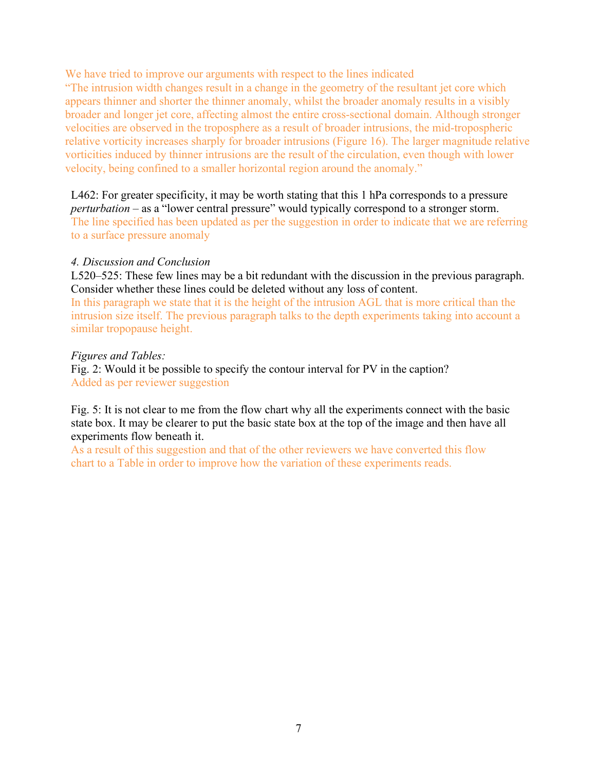We have tried to improve our arguments with respect to the lines indicated "The intrusion width changes result in a change in the geometry of the resultant jet core which appears thinner and shorter the thinner anomaly, whilst the broader anomaly results in a visibly broader and longer jet core, affecting almost the entire cross-sectional domain. Although stronger velocities are observed in the troposphere as a result of broader intrusions, the mid-tropospheric relative vorticity increases sharply for broader intrusions (Figure 16). The larger magnitude relative vorticities induced by thinner intrusions are the result of the circulation, even though with lower velocity, being confined to a smaller horizontal region around the anomaly."

L462: For greater specificity, it may be worth stating that this 1 hPa corresponds to a pressure *perturbation* – as a "lower central pressure" would typically correspond to a stronger storm. The line specified has been updated as per the suggestion in order to indicate that we are referring to a surface pressure anomaly

## *4. Discussion and Conclusion*

L520–525: These few lines may be a bit redundant with the discussion in the previous paragraph. Consider whether these lines could be deleted without any loss of content.

In this paragraph we state that it is the height of the intrusion AGL that is more critical than the intrusion size itself. The previous paragraph talks to the depth experiments taking into account a similar tropopause height.

## *Figures and Tables:*

Fig. 2: Would it be possible to specify the contour interval for PV in the caption? Added as per reviewer suggestion

Fig. 5: It is not clear to me from the flow chart why all the experiments connect with the basic state box. It may be clearer to put the basic state box at the top of the image and then have all experiments flow beneath it.

As a result of this suggestion and that of the other reviewers we have converted this flow chart to a Table in order to improve how the variation of these experiments reads.